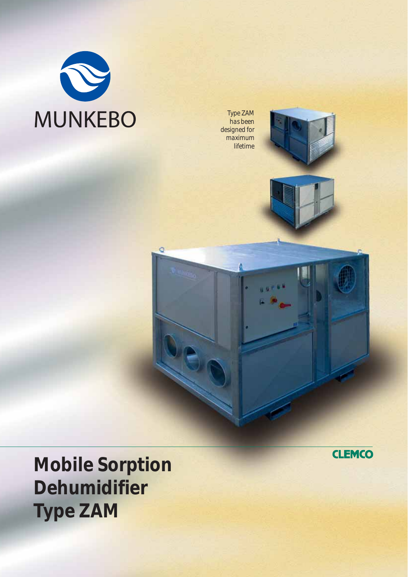

*Type ZAM has been designed for maximum lifetime*

ö





**Mobile Sorption Dehumidifier Type ZAM**